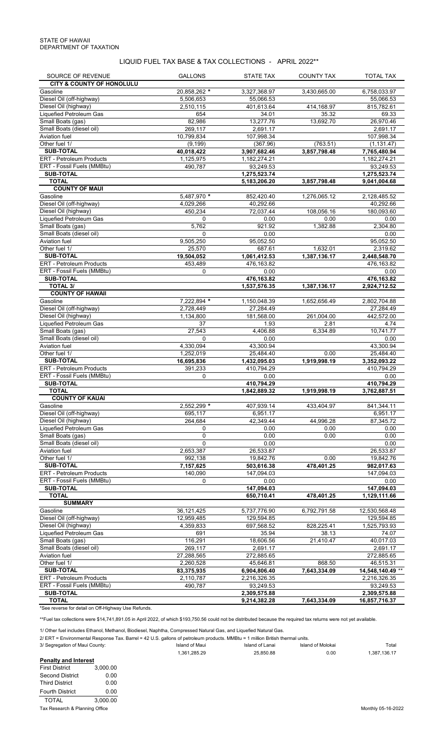LIQUID FUEL TAX BASE & TAX COLLECTIONS - APRIL 2022\*\*

| SOURCE OF REVENUE                                | <b>GALLONS</b>                    | <b>STATE TAX</b>             | <b>COUNTY TAX</b>  | <b>TOTAL TAX</b>              |
|--------------------------------------------------|-----------------------------------|------------------------------|--------------------|-------------------------------|
| <b>CITY &amp; COUNTY OF HONOLULU</b>             |                                   |                              |                    |                               |
| Gasoline                                         | 20,858,262 *                      | 3,327,368.97                 | 3,430,665.00       | 6,758,033.97                  |
| Diesel Oil (off-highway)                         | 5,506,653                         | 55,066.53                    |                    | 55,066.53                     |
| Diesel Oil (highway)                             | 2,510,115                         | 401,613.64                   | 414,168.97         | 815,782.61                    |
| <b>Liquefied Petroleum Gas</b>                   | 654                               | 34.01                        | 35.32              | 69.33                         |
| Small Boats (gas)                                | 82,986                            | 13,277.76                    | 13,692.70          | 26,970.46                     |
| Small Boats (diesel oil)<br>Aviation fuel        | 269,117                           | 2,691.17                     |                    | 2,691.17<br>107,998.34        |
| Other fuel 1/                                    | 10,799,834<br>(9, 199)            | 107,998.34<br>(367.96)       | (763.51)           | (1, 131.47)                   |
| <b>SUB-TOTAL</b>                                 | 40,018,422                        | 3,907,682.46                 | 3,857,798.48       | 7,765,480.94                  |
| <b>ERT - Petroleum Products</b>                  | 1,125,975                         | 1,182,274.21                 |                    | 1,182,274.21                  |
| <b>ERT - Fossil Fuels (MMBtu)</b>                | 490,787                           | 93,249.53                    |                    | 93,249.53                     |
| <b>SUB-TOTAL</b>                                 |                                   | 1,275,523.74                 |                    | 1,275,523.74                  |
| <b>TOTAL</b>                                     |                                   | 5,183,206.20                 | 3,857,798.48       | 9,041,004.68                  |
| <b>COUNTY OF MAUI</b>                            |                                   |                              |                    |                               |
| Gasoline                                         | 5,487,970 *                       | 852,420.40                   | 1,276,065.12       | 2,128,485.52                  |
| Diesel Oil (off-highway)                         | 4,029,266                         | 40,292.66                    |                    | 40,292.66                     |
| Diesel Oil (highway)                             | 450,234                           | 72,037.44                    | 108,056.16         | 180,093.60                    |
| <b>Liquefied Petroleum Gas</b>                   | $\mathbf 0$                       | 0.00                         | 0.00               | 0.00                          |
| Small Boats (gas)                                | 5,762                             | 921.92                       | 1,382.88           | 2,304.80                      |
| Small Boats (diesel oil)                         | 0                                 | 0.00                         |                    | 0.00                          |
| Aviation fuel                                    | 9,505,250                         | 95,052.50                    |                    | 95,052.50                     |
| Other fuel 1/                                    | 25,570                            | 687.61                       | 1,632.01           | 2,319.62                      |
| <b>SUB-TOTAL</b>                                 | 19,504,052                        | 1,061,412.53                 | 1,387,136.17       | 2,448,548.70                  |
| <b>ERT - Petroleum Products</b>                  | 453,489                           | 476,163.82                   |                    | 476,163.82                    |
| ERT - Fossil Fuels (MMBtu)                       | 0                                 | 0.00                         |                    | 0.00                          |
| <b>SUB-TOTAL</b>                                 |                                   | 476,163.82                   |                    | 476,163.82                    |
| <b>TOTAL 3/</b>                                  |                                   | 1,537,576.35                 | 1,387,136.17       | 2,924,712.52                  |
| <b>COUNTY OF HAWAII</b>                          |                                   |                              |                    |                               |
| Gasoline                                         | 7,222,894 *                       | 1,150,048.39                 | 1,652,656.49       | 2,802,704.88                  |
| Diesel Oil (off-highway)<br>Diesel Oil (highway) | 2,728,449                         | 27,284.49                    |                    | 27,284.49                     |
| Liquefied Petroleum Gas                          | 1,134,800<br>37                   | 181,568.00<br>1.93           | 261,004.00<br>2.81 | 442,572.00<br>4.74            |
| Small Boats (gas)                                | 27,543                            | 4,406.88                     | 6,334.89           | 10,741.77                     |
| Small Boats (diesel oil)                         | 0                                 | 0.00                         |                    | 0.00                          |
| Aviation fuel                                    | 4,330,094                         | 43,300.94                    |                    | 43,300.94                     |
| Other fuel 1/                                    | 1,252,019                         | 25,484.40                    | 0.00               | 25,484.40                     |
| <b>SUB-TOTAL</b>                                 | 16,695,836                        | 1,432,095.03                 | 1,919,998.19       | 3,352,093.22                  |
| <b>ERT - Petroleum Products</b>                  | 391,233                           | 410,794.29                   |                    | 410,794.29                    |
| <b>ERT - Fossil Fuels (MMBtu)</b>                | $\mathbf 0$                       | 0.00                         |                    | 0.00                          |
| <b>SUB-TOTAL</b>                                 |                                   | 410.794.29                   |                    | 410,794.29                    |
| <b>TOTAL</b>                                     |                                   | 1.842.889.32                 | 1,919,998.19       | 3,762,887.51                  |
| <b>COUNTY OF KAUAI</b>                           |                                   |                              |                    |                               |
| Gasoline                                         | 2,552,299 *                       | 407,939.14                   | 433,404.97         | 841,344.11                    |
| Diesel Oil (off-highway)                         | 695,117                           | 6,951.17                     |                    | 6,951.17                      |
| Diesel Oil (highway)                             | 264,684                           | 42,349.44                    | 44,996.28          | 87,345.72                     |
| <b>Liquefied Petroleum Gas</b>                   | 0                                 | 0.00                         | 0.00               | 0.00                          |
| Small Boats (gas)<br>Small Boats (diesel oil)    | 0                                 | 0.00<br>0.00                 | 0.00               | 0.00                          |
| Aviation fuel                                    | 0                                 | 26,533.87                    |                    | 0.00<br>26,533.87             |
| Other fuel 1/                                    | 2,653,387<br>$\overline{992,}138$ | 19,842.76                    | 0.00               | 19,842.76                     |
| <b>SUB-TOTAL</b>                                 | 7,157,625                         | 503,616.38                   | 478,401.25         | 982,017.63                    |
| ERT - Petroleum Products                         | 140,090                           | 147,094.03                   |                    | 147,094.03                    |
| ERT - Fossil Fuels (MMBtu)                       | 0                                 | 0.00                         |                    | 0.00                          |
| <b>SUB-TOTAL</b>                                 |                                   | 147,094.03                   |                    | 147,094.03                    |
| <b>TOTAL</b>                                     |                                   | 650,710.41                   | 478,401.25         | 1,129,111.66                  |
| <b>SUMMARY</b>                                   |                                   |                              |                    |                               |
| Gasoline                                         | 36,121,425                        | 5,737,776.90                 | 6,792,791.58       | 12,530,568.48                 |
| Diesel Oil (off-highway)                         | 12,959,485                        | 129,594.85                   |                    | 129,594.85                    |
| Diesel Oil (highway)                             | 4,359,833                         | 697,568.52                   | 828,225.41         | 1,525,793.93                  |
| Liquefied Petroleum Gas                          | 691                               | 35.94                        | 38.13              | 74.07                         |
| Small Boats (gas)                                | 116,291                           | 18,606.56                    | 21,410.47          | 40,017.03                     |
| Small Boats (diesel oil)                         | 269,117                           | 2,691.17                     |                    | 2,691.17                      |
| Aviation fuel                                    | 27,288,565                        | 272,885.65                   |                    | 272,885.65                    |
| Other fuel 1/                                    | 2,260,528                         | 45,646.81                    | 868.50             | 46,515.31                     |
| <b>SUB-TOTAL</b>                                 | 83,375,935                        | 6,904,806.40                 | 7,643,334.09       | 14,548,140.49 **              |
| <b>ERT - Petroleum Products</b>                  | 2,110,787                         | 2,216,326.35                 |                    | 2,216,326.35                  |
| ERT - Fossil Fuels (MMBtu)                       | 490,787                           | 93,249.53                    |                    | 93,249.53                     |
| <b>SUB-TOTAL</b><br><b>TOTAL</b>                 |                                   | 2,309,575.88<br>9,214,382.28 | 7,643,334.09       | 2,309,575.88<br>16,857,716.37 |
|                                                  |                                   |                              |                    |                               |

\*See reverse for detail on Off-Highway Use Refunds.

\*\*Fuel tax collections were \$14,741,891.05 in April 2022, of which \$193,750.56 could not be distributed because the required tax returns were not yet available.

1/ Other fuel includes Ethanol, Methanol, Biodiesel, Naphtha, Compressed Natural Gas, and Liquefied Natural Gas.

2/ ERT = Environmental Response Tax. Barrel = 42 U.S. gallons of petroleum products. MMBtu = 1 million British thermal units.

| 3/ Segregation of Maui County: | Island of Maui | Island of Lanai | Island of Molokai | Total        |
|--------------------------------|----------------|-----------------|-------------------|--------------|
|                                | .361.285.29    | 25.850.88       | 0.00              | 1.387.136.17 |

| <b>Penalty and Interest</b>    |          |  |  |
|--------------------------------|----------|--|--|
| <b>First District</b>          | 3.000.00 |  |  |
| <b>Second District</b>         | 0.00     |  |  |
| <b>Third District</b>          | 0.00     |  |  |
| <b>Fourth District</b>         | 0.00     |  |  |
| <b>TOTAL</b>                   | 3.000.00 |  |  |
| Tax Research & Planning Office |          |  |  |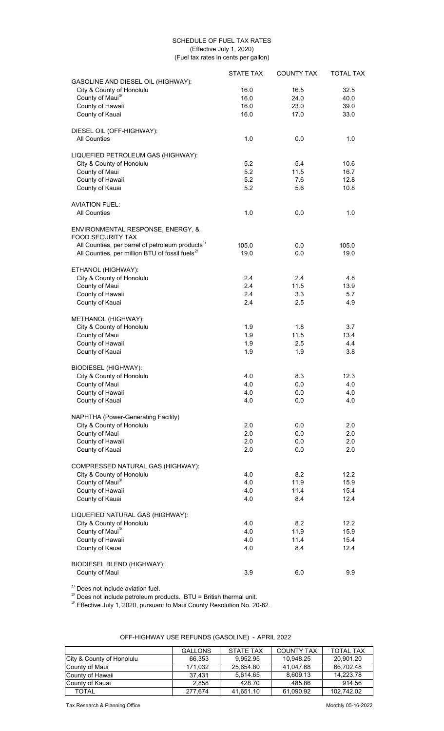## SCHEDULE OF FUEL TAX RATES (Effective July 1, 2020) (Fuel tax rates in cents per gallon)

|                                                               | <b>STATE TAX</b> | <b>COUNTY TAX</b> | <b>TOTAL TAX</b> |
|---------------------------------------------------------------|------------------|-------------------|------------------|
| GASOLINE AND DIESEL OIL (HIGHWAY):                            |                  |                   |                  |
| City & County of Honolulu                                     | 16.0             | 16.5              | 32.5             |
| County of Maui <sup>3/</sup>                                  | 16.0             | 24.0              | 40.0             |
| County of Hawaii                                              | 16.0             | 23.0              | 39.0             |
| County of Kauai                                               | 16.0             | 17.0              | 33.0             |
| DIESEL OIL (OFF-HIGHWAY):                                     |                  |                   |                  |
| <b>All Counties</b>                                           | 1.0              | 0.0               | 1.0              |
| LIQUEFIED PETROLEUM GAS (HIGHWAY):                            |                  |                   |                  |
| City & County of Honolulu                                     | 5.2              | 5.4               | 10.6             |
| County of Maui                                                | 5.2              | 11.5              | 16.7             |
| County of Hawaii                                              | 5.2              | 7.6               | 12.8             |
| County of Kauai                                               | 5.2              | 5.6               | 10.8             |
| <b>AVIATION FUEL:</b>                                         |                  |                   |                  |
| <b>All Counties</b>                                           | 1.0              | 0.0               | 1.0              |
| ENVIRONMENTAL RESPONSE, ENERGY, &<br><b>FOOD SECURITY TAX</b> |                  |                   |                  |
| All Counties, per barrel of petroleum products <sup>1/</sup>  | 105.0            | 0.0               | 105.0            |
| All Counties, per million BTU of fossil fuels <sup>2/</sup>   | 19.0             | 0.0               | 19.0             |
| ETHANOL (HIGHWAY):                                            |                  |                   |                  |
| City & County of Honolulu                                     | 2.4              | 2.4               | 4.8              |
| County of Maui                                                | 2.4              | 11.5              | 13.9             |
| County of Hawaii                                              | 2.4              | 3.3               | 5.7              |
| County of Kauai                                               | 2.4              | 2.5               | 4.9              |
| METHANOL (HIGHWAY):                                           |                  |                   |                  |
| City & County of Honolulu                                     | 1.9              | 1.8               | 3.7              |
| County of Maui                                                | 1.9              | 11.5              | 13.4             |
| County of Hawaii                                              | 1.9              | 2.5               | 4.4              |
| County of Kauai                                               | 1.9              | 1.9               | 3.8              |
| <b>BIODIESEL (HIGHWAY):</b>                                   |                  |                   |                  |
| City & County of Honolulu                                     | 4.0              | 8.3               | 12.3             |
| County of Maui                                                | 4.0              | 0.0               | 4.0              |
| County of Hawaii                                              | 4.0              | 0.0               | 4.0              |
| County of Kauai                                               | 4.0              | 0.0               | 4.0              |
|                                                               |                  |                   |                  |
| NAPHTHA (Power-Generating Facility)                           |                  |                   |                  |
| City & County of Honolulu                                     | 2.0              | 0.0               | 2.0              |
| County of Maui                                                | 2.0              | 0.0               | 2.0              |
| County of Hawaii                                              | 2.0              | 0.0               | 2.0              |
| County of Kauai                                               | 2.0              | 0.0               | 2.0              |
| COMPRESSED NATURAL GAS (HIGHWAY):                             |                  |                   |                  |
| City & County of Honolulu                                     | 4.0              | 8.2               | 12.2             |
| County of Maui <sup>3/</sup>                                  | 4.0              | 11.9              | 15.9             |
| County of Hawaii                                              | 4.0              | 11.4              | 15.4             |
| County of Kauai                                               | 4.0              | 8.4               | 12.4             |
| LIQUEFIED NATURAL GAS (HIGHWAY):                              |                  |                   |                  |
| City & County of Honolulu                                     | 4.0              | 8.2               | 12.2             |
| County of Maui <sup>3/</sup>                                  | 4.0              | 11.9              | 15.9             |
| County of Hawaii                                              | 4.0              | 11.4              | 15.4             |
| County of Kauai                                               | 4.0              | 8.4               | 12.4             |
| <b>BIODIESEL BLEND (HIGHWAY):</b>                             |                  |                   |                  |
| County of Maui                                                | 3.9              | 6.0               | 9.9              |

 $1/$  Does not include aviation fuel.

 $^{2}$  Does not include petroleum products. BTU = British thermal unit.

 $3'$  Effective July 1, 2020, pursuant to Maui County Resolution No. 20-82.

OFF-HIGHWAY USE REFUNDS (GASOLINE) - APRIL 2022

|                           | <b>GALLONS</b> | STATF TAX | <b>COUNTY TAX</b> | <b>TOTAL TAX</b> |
|---------------------------|----------------|-----------|-------------------|------------------|
| City & County of Honolulu | 66.353         | 9.952.95  | 10.948.25         | 20.901.20        |
| County of Maui            | 171,032        | 25.654.80 | 41,047.68         | 66.702.48        |
| County of Hawaii          | 37.431         | 5.614.65  | 8.609.13          | 14.223.78        |
| lCountv of Kauai          | 2.858          | 428.70    | 485.86            | 914.56           |
| <b>TOTAL</b>              | 277.674        | 41.651.10 | 61,090.92         | 102.742.02       |

Tax Research & Planning Office **Monthly 05-16-2022**